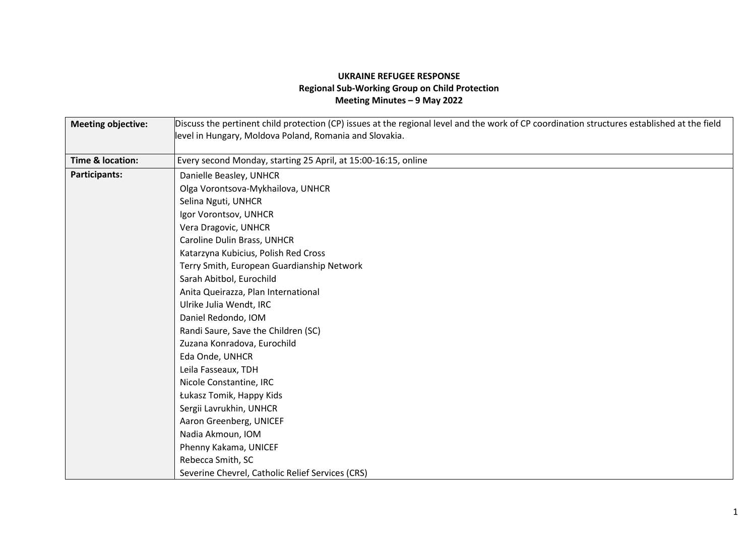## **UKRAINE REFUGEE RESPONSE Regional Sub-Working Group on Child Protection Meeting Minutes – 9 May 2022**

| <b>Meeting objective:</b> | Discuss the pertinent child protection (CP) issues at the regional level and the work of CP coordination structures established at the field |
|---------------------------|----------------------------------------------------------------------------------------------------------------------------------------------|
|                           | level in Hungary, Moldova Poland, Romania and Slovakia.                                                                                      |
|                           |                                                                                                                                              |
| Time & location:          | Every second Monday, starting 25 April, at 15:00-16:15, online                                                                               |
| Participants:             | Danielle Beasley, UNHCR                                                                                                                      |
|                           | Olga Vorontsova-Mykhailova, UNHCR                                                                                                            |
|                           | Selina Nguti, UNHCR                                                                                                                          |
|                           | Igor Vorontsov, UNHCR                                                                                                                        |
|                           | Vera Dragovic, UNHCR                                                                                                                         |
|                           | Caroline Dulin Brass, UNHCR                                                                                                                  |
|                           | Katarzyna Kubicius, Polish Red Cross                                                                                                         |
|                           | Terry Smith, European Guardianship Network                                                                                                   |
|                           | Sarah Abitbol, Eurochild                                                                                                                     |
|                           | Anita Queirazza, Plan International                                                                                                          |
|                           | Ulrike Julia Wendt, IRC                                                                                                                      |
|                           | Daniel Redondo, IOM                                                                                                                          |
|                           | Randi Saure, Save the Children (SC)                                                                                                          |
|                           | Zuzana Konradova, Eurochild                                                                                                                  |
|                           | Eda Onde, UNHCR                                                                                                                              |
|                           | Leila Fasseaux, TDH                                                                                                                          |
|                           | Nicole Constantine, IRC                                                                                                                      |
|                           | Łukasz Tomik, Happy Kids                                                                                                                     |
|                           | Sergii Lavrukhin, UNHCR                                                                                                                      |
|                           | Aaron Greenberg, UNICEF                                                                                                                      |
|                           | Nadia Akmoun, IOM                                                                                                                            |
|                           | Phenny Kakama, UNICEF                                                                                                                        |
|                           | Rebecca Smith, SC                                                                                                                            |
|                           | Severine Chevrel, Catholic Relief Services (CRS)                                                                                             |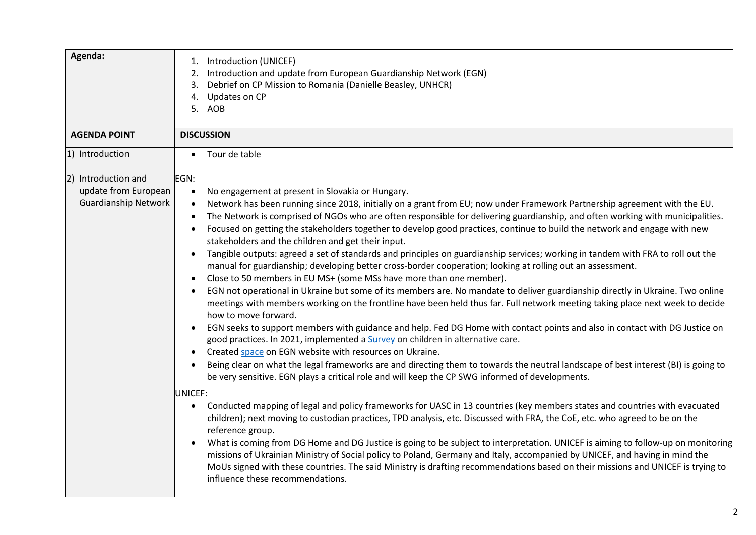| Agenda:                                                                    | Introduction (UNICEF)<br>1.<br>Introduction and update from European Guardianship Network (EGN)<br>2.<br>Debrief on CP Mission to Romania (Danielle Beasley, UNHCR)<br>3.<br>Updates on CP<br>4.<br>5. AOB                                                                                                                                                                                                                                                                                                                                                                                                                                                                                                                                                                                                                                                                                                                                                                                                                                                                                                                                                                                                                                                                                                                                                                                                                                                                                                                                                                                                                                                                                                                                                                                                                                                                                                                                                                                                                                                                                                                                                                                                                                                                                                                                                                                                                                                                                                    |
|----------------------------------------------------------------------------|---------------------------------------------------------------------------------------------------------------------------------------------------------------------------------------------------------------------------------------------------------------------------------------------------------------------------------------------------------------------------------------------------------------------------------------------------------------------------------------------------------------------------------------------------------------------------------------------------------------------------------------------------------------------------------------------------------------------------------------------------------------------------------------------------------------------------------------------------------------------------------------------------------------------------------------------------------------------------------------------------------------------------------------------------------------------------------------------------------------------------------------------------------------------------------------------------------------------------------------------------------------------------------------------------------------------------------------------------------------------------------------------------------------------------------------------------------------------------------------------------------------------------------------------------------------------------------------------------------------------------------------------------------------------------------------------------------------------------------------------------------------------------------------------------------------------------------------------------------------------------------------------------------------------------------------------------------------------------------------------------------------------------------------------------------------------------------------------------------------------------------------------------------------------------------------------------------------------------------------------------------------------------------------------------------------------------------------------------------------------------------------------------------------------------------------------------------------------------------------------------------------|
| <b>AGENDA POINT</b>                                                        | <b>DISCUSSION</b>                                                                                                                                                                                                                                                                                                                                                                                                                                                                                                                                                                                                                                                                                                                                                                                                                                                                                                                                                                                                                                                                                                                                                                                                                                                                                                                                                                                                                                                                                                                                                                                                                                                                                                                                                                                                                                                                                                                                                                                                                                                                                                                                                                                                                                                                                                                                                                                                                                                                                             |
| 1) Introduction                                                            | Tour de table<br>$\bullet$                                                                                                                                                                                                                                                                                                                                                                                                                                                                                                                                                                                                                                                                                                                                                                                                                                                                                                                                                                                                                                                                                                                                                                                                                                                                                                                                                                                                                                                                                                                                                                                                                                                                                                                                                                                                                                                                                                                                                                                                                                                                                                                                                                                                                                                                                                                                                                                                                                                                                    |
| 2) Introduction and<br>update from European<br><b>Guardianship Network</b> | EGN:<br>No engagement at present in Slovakia or Hungary.<br>$\bullet$<br>Network has been running since 2018, initially on a grant from EU; now under Framework Partnership agreement with the EU.<br>$\bullet$<br>The Network is comprised of NGOs who are often responsible for delivering guardianship, and often working with municipalities.<br>$\bullet$<br>Focused on getting the stakeholders together to develop good practices, continue to build the network and engage with new<br>$\bullet$<br>stakeholders and the children and get their input.<br>Tangible outputs: agreed a set of standards and principles on guardianship services; working in tandem with FRA to roll out the<br>manual for guardianship; developing better cross-border cooperation; looking at rolling out an assessment.<br>Close to 50 members in EU MS+ (some MSs have more than one member).<br>$\bullet$<br>EGN not operational in Ukraine but some of its members are. No mandate to deliver guardianship directly in Ukraine. Two online<br>meetings with members working on the frontline have been held thus far. Full network meeting taking place next week to decide<br>how to move forward.<br>EGN seeks to support members with guidance and help. Fed DG Home with contact points and also in contact with DG Justice on<br>$\bullet$<br>good practices. In 2021, implemented a Survey on children in alternative care.<br>Created space on EGN website with resources on Ukraine.<br>$\bullet$<br>Being clear on what the legal frameworks are and directing them to towards the neutral landscape of best interest (BI) is going to<br>$\bullet$<br>be very sensitive. EGN plays a critical role and will keep the CP SWG informed of developments.<br>UNICEF:<br>Conducted mapping of legal and policy frameworks for UASC in 13 countries (key members states and countries with evacuated<br>children); next moving to custodian practices, TPD analysis, etc. Discussed with FRA, the CoE, etc. who agreed to be on the<br>reference group.<br>What is coming from DG Home and DG Justice is going to be subject to interpretation. UNICEF is aiming to follow-up on monitoring<br>$\bullet$<br>missions of Ukrainian Ministry of Social policy to Poland, Germany and Italy, accompanied by UNICEF, and having in mind the<br>MoUs signed with these countries. The said Ministry is drafting recommendations based on their missions and UNICEF is trying to<br>influence these recommendations. |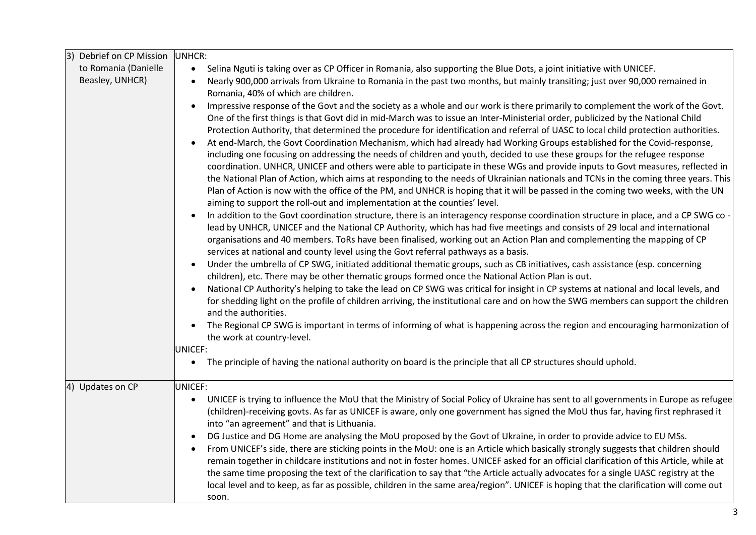| 3)<br>Debrief on CP Mission | UNHCR:                                                                                                                                                                                                                                                                       |
|-----------------------------|------------------------------------------------------------------------------------------------------------------------------------------------------------------------------------------------------------------------------------------------------------------------------|
| to Romania (Danielle        | Selina Nguti is taking over as CP Officer in Romania, also supporting the Blue Dots, a joint initiative with UNICEF.<br>$\bullet$                                                                                                                                            |
| Beasley, UNHCR)             | Nearly 900,000 arrivals from Ukraine to Romania in the past two months, but mainly transiting; just over 90,000 remained in                                                                                                                                                  |
|                             | Romania, 40% of which are children.                                                                                                                                                                                                                                          |
|                             | Impressive response of the Govt and the society as a whole and our work is there primarily to complement the work of the Govt.<br>$\bullet$                                                                                                                                  |
|                             | One of the first things is that Govt did in mid-March was to issue an Inter-Ministerial order, publicized by the National Child                                                                                                                                              |
|                             | Protection Authority, that determined the procedure for identification and referral of UASC to local child protection authorities.                                                                                                                                           |
|                             | At end-March, the Govt Coordination Mechanism, which had already had Working Groups established for the Covid-response,<br>$\bullet$<br>including one focusing on addressing the needs of children and youth, decided to use these groups for the refugee response           |
|                             | coordination. UNHCR, UNICEF and others were able to participate in these WGs and provide inputs to Govt measures, reflected in                                                                                                                                               |
|                             | the National Plan of Action, which aims at responding to the needs of Ukrainian nationals and TCNs in the coming three years. This                                                                                                                                           |
|                             | Plan of Action is now with the office of the PM, and UNHCR is hoping that it will be passed in the coming two weeks, with the UN                                                                                                                                             |
|                             | aiming to support the roll-out and implementation at the counties' level.                                                                                                                                                                                                    |
|                             | In addition to the Govt coordination structure, there is an interagency response coordination structure in place, and a CP SWG co-<br>$\bullet$                                                                                                                              |
|                             | lead by UNHCR, UNICEF and the National CP Authority, which has had five meetings and consists of 29 local and international                                                                                                                                                  |
|                             | organisations and 40 members. ToRs have been finalised, working out an Action Plan and complementing the mapping of CP                                                                                                                                                       |
|                             | services at national and county level using the Govt referral pathways as a basis.                                                                                                                                                                                           |
|                             | Under the umbrella of CP SWG, initiated additional thematic groups, such as CB initiatives, cash assistance (esp. concerning<br>$\bullet$                                                                                                                                    |
|                             | children), etc. There may be other thematic groups formed once the National Action Plan is out.<br>National CP Authority's helping to take the lead on CP SWG was critical for insight in CP systems at national and local levels, and                                       |
|                             | for shedding light on the profile of children arriving, the institutional care and on how the SWG members can support the children                                                                                                                                           |
|                             | and the authorities.                                                                                                                                                                                                                                                         |
|                             | The Regional CP SWG is important in terms of informing of what is happening across the region and encouraging harmonization of<br>$\bullet$                                                                                                                                  |
|                             | the work at country-level.                                                                                                                                                                                                                                                   |
|                             | UNICEF:                                                                                                                                                                                                                                                                      |
|                             | The principle of having the national authority on board is the principle that all CP structures should uphold.<br>$\bullet$                                                                                                                                                  |
| 4) Updates on CP            | UNICEF:                                                                                                                                                                                                                                                                      |
|                             | UNICEF is trying to influence the MoU that the Ministry of Social Policy of Ukraine has sent to all governments in Europe as refugee<br>$\bullet$                                                                                                                            |
|                             | (children)-receiving govts. As far as UNICEF is aware, only one government has signed the MoU thus far, having first rephrased it                                                                                                                                            |
|                             | into "an agreement" and that is Lithuania.                                                                                                                                                                                                                                   |
|                             | DG Justice and DG Home are analysing the MoU proposed by the Govt of Ukraine, in order to provide advice to EU MSs.<br>$\bullet$                                                                                                                                             |
|                             | From UNICEF's side, there are sticking points in the MoU: one is an Article which basically strongly suggests that children should                                                                                                                                           |
|                             | remain together in childcare institutions and not in foster homes. UNICEF asked for an official clarification of this Article, while at                                                                                                                                      |
|                             | the same time proposing the text of the clarification to say that "the Article actually advocates for a single UASC registry at the<br>local level and to keep, as far as possible, children in the same area/region". UNICEF is hoping that the clarification will come out |
|                             | soon.                                                                                                                                                                                                                                                                        |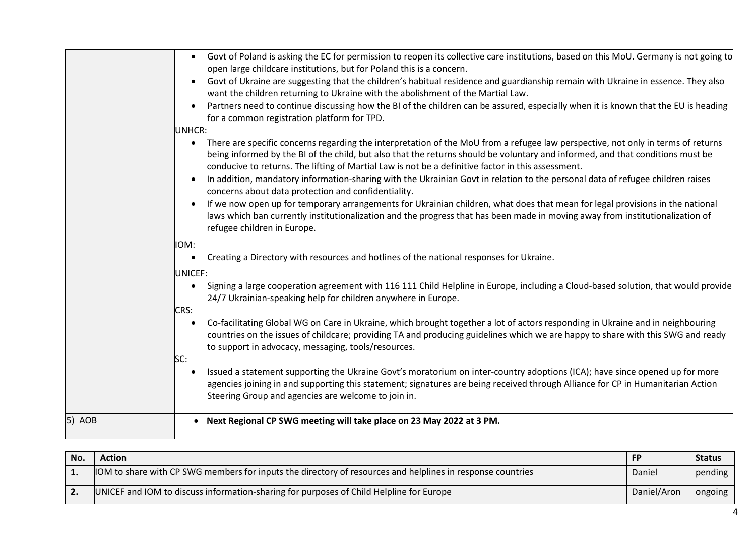|        | Govt of Poland is asking the EC for permission to reopen its collective care institutions, based on this MoU. Germany is not going to<br>$\bullet$<br>open large childcare institutions, but for Poland this is a concern.<br>Govt of Ukraine are suggesting that the children's habitual residence and guardianship remain with Ukraine in essence. They also<br>$\bullet$<br>want the children returning to Ukraine with the abolishment of the Martial Law.<br>Partners need to continue discussing how the BI of the children can be assured, especially when it is known that the EU is heading<br>for a common registration platform for TPD.<br>UNHCR:<br>There are specific concerns regarding the interpretation of the MoU from a refugee law perspective, not only in terms of returns<br>$\bullet$<br>being informed by the BI of the child, but also that the returns should be voluntary and informed, and that conditions must be<br>conducive to returns. The lifting of Martial Law is not be a definitive factor in this assessment.<br>In addition, mandatory information-sharing with the Ukrainian Govt in relation to the personal data of refugee children raises<br>concerns about data protection and confidentiality. |
|--------|-------------------------------------------------------------------------------------------------------------------------------------------------------------------------------------------------------------------------------------------------------------------------------------------------------------------------------------------------------------------------------------------------------------------------------------------------------------------------------------------------------------------------------------------------------------------------------------------------------------------------------------------------------------------------------------------------------------------------------------------------------------------------------------------------------------------------------------------------------------------------------------------------------------------------------------------------------------------------------------------------------------------------------------------------------------------------------------------------------------------------------------------------------------------------------------------------------------------------------------------------|
|        | If we now open up for temporary arrangements for Ukrainian children, what does that mean for legal provisions in the national<br>$\bullet$<br>laws which ban currently institutionalization and the progress that has been made in moving away from institutionalization of<br>refugee children in Europe.                                                                                                                                                                                                                                                                                                                                                                                                                                                                                                                                                                                                                                                                                                                                                                                                                                                                                                                                      |
|        | IOM:<br>Creating a Directory with resources and hotlines of the national responses for Ukraine.<br>$\bullet$<br><b>UNICEF:</b>                                                                                                                                                                                                                                                                                                                                                                                                                                                                                                                                                                                                                                                                                                                                                                                                                                                                                                                                                                                                                                                                                                                  |
|        | Signing a large cooperation agreement with 116 111 Child Helpline in Europe, including a Cloud-based solution, that would provide<br>$\bullet$<br>24/7 Ukrainian-speaking help for children anywhere in Europe.<br>CRS:                                                                                                                                                                                                                                                                                                                                                                                                                                                                                                                                                                                                                                                                                                                                                                                                                                                                                                                                                                                                                         |
|        | Co-facilitating Global WG on Care in Ukraine, which brought together a lot of actors responding in Ukraine and in neighbouring<br>$\bullet$<br>countries on the issues of childcare; providing TA and producing guidelines which we are happy to share with this SWG and ready<br>to support in advocacy, messaging, tools/resources.<br>SC:                                                                                                                                                                                                                                                                                                                                                                                                                                                                                                                                                                                                                                                                                                                                                                                                                                                                                                    |
|        | Issued a statement supporting the Ukraine Govt's moratorium on inter-country adoptions (ICA); have since opened up for more<br>agencies joining in and supporting this statement; signatures are being received through Alliance for CP in Humanitarian Action<br>Steering Group and agencies are welcome to join in.                                                                                                                                                                                                                                                                                                                                                                                                                                                                                                                                                                                                                                                                                                                                                                                                                                                                                                                           |
| 5) AOB | Next Regional CP SWG meeting will take place on 23 May 2022 at 3 PM.<br>$\bullet$                                                                                                                                                                                                                                                                                                                                                                                                                                                                                                                                                                                                                                                                                                                                                                                                                                                                                                                                                                                                                                                                                                                                                               |

| No. | <b>Action</b>                                                                                                     | <b>FP</b>   | <b>Status</b> |
|-----|-------------------------------------------------------------------------------------------------------------------|-------------|---------------|
|     | <b>IOM</b> to share with CP SWG members for inputs the directory of resources and helplines in response countries | Daniel      | pending       |
|     | UNICEF and IOM to discuss information-sharing for purposes of Child Helpline for Europe                           | Daniel/Aron | ongoing       |